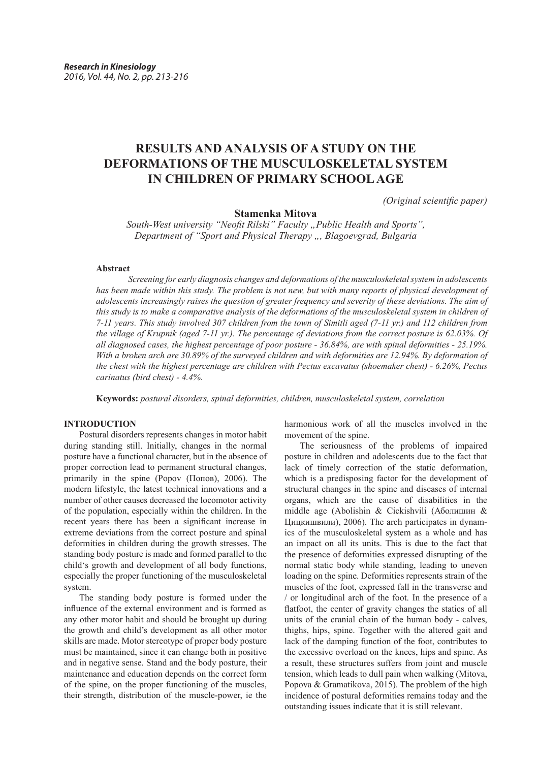# **RESULTS AND ANALYSIS OF A STUDY ON THE DEFORMATIONS OF THE MUSCULOSKELETAL SYSTEM IN CHILDREN OF PRIMARY SCHOOL AGE**

*(Original scientific paper)*

## **Stamenka Mitova**

*South-West university "Neofit Rilski" Faculty "Public Health and Sports", Department of "Sport and Physical Therapy ", Blagoevgrad, Bulgaria*

#### **Abstract**

*Screening for early diagnosis changes and deformations of the musculoskeletal system in adolescents has been made within this study. The problem is not new, but with many reports of physical development of adolescents increasingly raises the question of greater frequency and severity of these deviations. The aim of this study is to make a comparative analysis of the deformations of the musculoskeletal system in children of 7-11 years. This study involved 307 children from the town of Simitli aged (7-11 yr.) and 112 children from the village of Krupnik (aged 7-11 yr.). The percentage of deviations from the correct posture is 62.03%. Of all diagnosed cases, the highest percentage of poor posture - 36.84%, are with spinal deformities - 25.19%. With a broken arch are 30.89% of the surveyed children and with deformities are 12.94%. By deformation of the chest with the highest percentage are children with Pectus excavatus (shoemaker chest) - 6.26%, Pectus carinatus (bird chest) - 4.4%.*

**Keywords:** *postural disorders, spinal deformities, children, musculoskeletal system, correlation*

### **INTRODUCTION**

Postural disorders represents changes in motor habit during standing still. Initially, changes in the normal posture have a functional character, but in the absence of proper correction lead to permanent structural changes, primarily in the spine (Popov (Попов), 2006). The modern lifestyle, the latest technical innovations and a number of other causes decreased the locomotor activity of the population, especially within the children. In the recent years there has been a significant increase in extreme deviations from the correct posture and spinal deformities in children during the growth stresses. The standing body posture is made and formed parallel to the child's growth and development of all body functions, especially the proper functioning of the musculoskeletal system.

The standing body posture is formed under the influence of the external environment and is formed as any other motor habit and should be brought up during the growth and child's development as all other motor skills are made. Motor stereotype of proper body posture must be maintained, since it can change both in positive and in negative sense. Stand and the body posture, their maintenance and education depends on the correct form of the spine, on the proper functioning of the muscles, their strength, distribution of the muscle-power, ie the harmonious work of all the muscles involved in the movement of the spine.

The seriousness of the problems of impaired posture in children and adolescents due to the fact that lack of timely correction of the static deformation, which is a predisposing factor for the development of structural changes in the spine and diseases of internal organs, which are the cause of disabilities in the middle age (Abolishin & Cickishvili (Аболишин & Цицкишвили), 2006). The arch participates in dynamics of the musculoskeletal system as a whole and has an impact on all its units. This is due to the fact that the presence of deformities expressed disrupting of the normal static body while standing, leading to uneven loading on the spine. Deformities represents strain of the muscles of the foot, expressed fall in the transverse and / or longitudinal arch of the foot. In the presence of a flatfoot, the center of gravity changes the statics of all units of the cranial chain of the human body - calves, thighs, hips, spine. Together with the altered gait and lack of the damping function of the foot, contributes to the excessive overload on the knees, hips and spine. As a result, these structures suffers from joint and muscle tension, which leads to dull pain when walking (Mitova, Popova & Gramatikova, 2015). The problem of the high incidence of postural deformities remains today and the outstanding issues indicate that it is still relevant.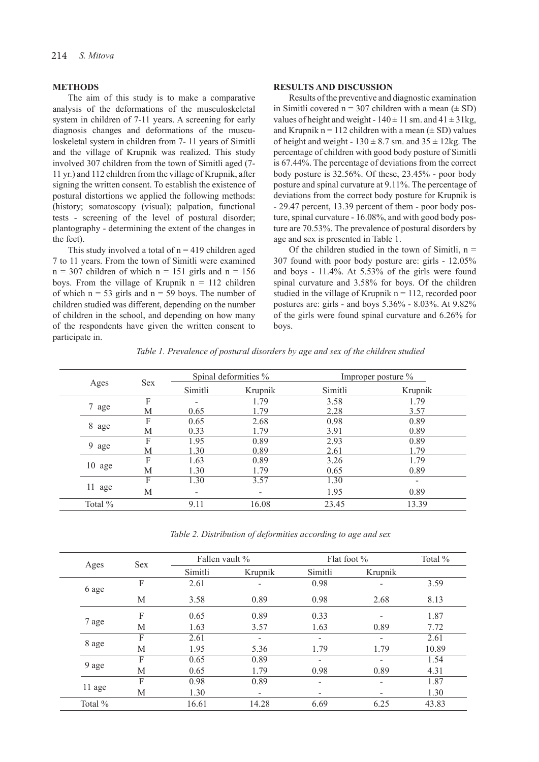#### **METHODS**

The aim of this study is to make a comparative analysis of the deformations of the musculoskeletal system in children of 7-11 years. A screening for early diagnosis changes and deformations of the musculoskeletal system in children from 7- 11 years of Simitli and the village of Krupnik was realized. This study involved 307 children from the town of Simitli aged (7- 11 yr.) and 112 children from the village of Krupnik, after signing the written consent. To establish the existence of postural distortions we applied the following methods: (history; somatoscopy (visual); palpation, functional tests - screening of the level of postural disorder; plantography - determining the extent of the changes in the feet).

This study involved a total of  $n = 419$  children aged 7 to 11 years. From the town of Simitli were examined  $n = 307$  children of which  $n = 151$  girls and  $n = 156$ boys. From the village of Krupnik  $n = 112$  children of which  $n = 53$  girls and  $n = 59$  boys. The number of children studied was different, depending on the number of children in the school, and depending on how many of the respondents have given the written consent to participate in.

## **RESULTS AND DISCUSSION**

Results of the preventive and diagnostic examination in Simitli covered  $n = 307$  children with a mean  $(\pm SD)$ values of height and weight -  $140 \pm 11$  sm. and  $41 \pm 31$ kg, and Krupnik n = 112 children with a mean  $(\pm SD)$  values of height and weight -  $130 \pm 8.7$  sm. and  $35 \pm 12$ kg. The percentage of children with good body posture of Simitli is 67.44%. The percentage of deviations from the correct body posture is 32.56%. Of these, 23.45% - poor body posture and spinal curvature at 9.11%. The percentage of deviations from the correct body posture for Krupnik is - 29.47 percent, 13.39 percent of them - poor body posture, spinal curvature - 16.08%, and with good body posture are 70.53%. The prevalence of postural disorders by age and sex is presented in Table 1.

Of the children studied in the town of Simitli,  $n =$ 307 found with poor body posture are: girls - 12.05% and boys - 11.4%. At 5.53% of the girls were found spinal curvature and 3.58% for boys. Of the children studied in the village of Krupnik  $n = 112$ , recorded poor postures are: girls - and boys 5.36% - 8.03%. At 9.82% of the girls were found spinal curvature and 6.26% for boys.

| Table 1. Prevalence of postural disorders by age and sex of the children studied |  |  |  |  |  |  |
|----------------------------------------------------------------------------------|--|--|--|--|--|--|
|                                                                                  |  |  |  |  |  |  |

|                  | <b>Sex</b> |         | Spinal deformities % | Improper posture % |         |  |
|------------------|------------|---------|----------------------|--------------------|---------|--|
| Ages             |            | Simitli | Krupnik              | Simitli            | Krupnik |  |
|                  | F          |         | 1.79                 | 3.58               | 1.79    |  |
| 7 age            | М          | 0.65    | 1.79                 | 2.28               | 3.57    |  |
|                  | F          | 0.65    | 2.68                 | 0.98               | 0.89    |  |
| 8 age            | М          | 0.33    | 1.79                 | 3.91               | 0.89    |  |
|                  | F          | 1.95    | 0.89                 | 2.93               | 0.89    |  |
| 9 age            | М          | 1.30    | 0.89                 | 2.61               | 1.79    |  |
|                  | F          | 1.63    | 0.89                 | 3.26               | 1.79    |  |
| $10 \text{ age}$ | М          | 1.30    | 1.79                 | 0.65               | 0.89    |  |
|                  | F          | 1.30    | 3.57                 | 1.30               |         |  |
| 11 age           | М          |         |                      | 1.95               | 0.89    |  |
| Total %          |            | 9.11    | 16.08                | 23.45              | 13.39   |  |

*Table 2. Distribution of deformities according to age and sex*

| Ages    | Sex | Fallen vault % |                          | Flat foot $\%$ | Total % |       |
|---------|-----|----------------|--------------------------|----------------|---------|-------|
|         |     | Simitli        | Krupnik                  | Simitli        | Krupnik |       |
| 6 age   | F   | 2.61           | -                        | 0.98           |         | 3.59  |
|         | М   | 3.58           | 0.89                     | 0.98           | 2.68    | 8.13  |
|         | F   | 0.65           | 0.89                     | 0.33           |         | 1.87  |
| 7 age   | М   | 1.63           | 3.57                     | 1.63           | 0.89    | 7.72  |
|         | F   | 2.61           |                          |                |         | 2.61  |
| 8 age   | M   | 1.95           | 5.36                     | 1.79           | 1.79    | 10.89 |
|         | F   | 0.65           | 0.89                     |                |         | 1.54  |
| 9 age   | M   | 0.65           | 1.79                     | 0.98           | 0.89    | 4.31  |
|         | F   | 0.98           | 0.89                     | -              |         | 1.87  |
| 11 age  | M   | 1.30           | $\overline{\phantom{0}}$ |                |         | 1.30  |
| Total % |     | 16.61          | 14.28                    | 6.69           | 6.25    | 43.83 |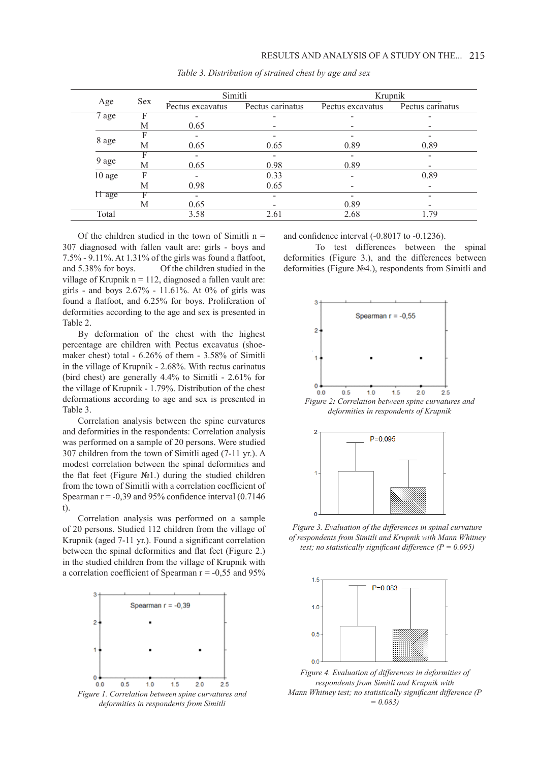|            |            | Simitli          |                  | Krupnik          |                  |  |  |
|------------|------------|------------------|------------------|------------------|------------------|--|--|
| Age        | <b>Sex</b> | Pectus excavatus | Pectus carinatus | Pectus excavatus | Pectus carinatus |  |  |
| 7 age<br>F |            |                  |                  |                  |                  |  |  |
|            | М          | 0.65             |                  |                  |                  |  |  |
|            |            |                  |                  |                  |                  |  |  |
| 8 age<br>M |            | 0.65             | 0.65             | 0.89             | 0.89             |  |  |
|            |            | Ξ.               |                  |                  |                  |  |  |
| $9$ age    | М          | 0.65             | 0.98             | 0.89             |                  |  |  |
| $10$ age   | F          |                  | 0.33             |                  | 0.89             |  |  |
|            | М          | 0.98             | 0.65             |                  |                  |  |  |
| $\Pi$ age  |            | -                |                  |                  |                  |  |  |
|            | М          | 0.65             |                  | 0.89             |                  |  |  |
| Total      |            | 3.58             | 2.61             | 2.68             | 1.79             |  |  |

*Table 3. Distribution of strained chest by age and sex*

Of the children studied in the town of Simitli  $n =$ 307 diagnosed with fallen vault are: girls - boys and 7.5% - 9.11%. At 1.31% of the girls was found a flatfoot, and 5.38% for boys. Of the children studied in the village of Krupnik  $n = 112$ , diagnosed a fallen vault are: girls - and boys 2.67% - 11.61%. At 0% of girls was found a flatfoot, and 6.25% for boys. Proliferation of deformities according to the age and sex is presented in Table 2.

By deformation of the chest with the highest percentage are children with Pectus excavatus (shoemaker chest) total - 6.26% of them - 3.58% of Simitli in the village of Krupnik - 2.68%. With rectus carinatus (bird chest) are generally 4.4% to Simitli - 2.61% for the village of Krupnik - 1.79%. Distribution of the chest deformations according to age and sex is presented in Table 3.

Correlation analysis between the spine curvatures and deformities in the respondents: Correlation analysis was performed on a sample of 20 persons. Were studied 307 children from the town of Simitli aged (7-11 yr.). A modest correlation between the spinal deformities and the flat feet (Figure №1.) during the studied children from the town of Simitli with a correlation coefficient of Spearman  $r = -0.39$  and 95% confidence interval  $(0.7146)$ t).

Correlation analysis was performed on a sample of 20 persons. Studied 112 children from the village of Krupnik (aged 7-11 yr.). Found a significant correlation between the spinal deformities and flat feet (Figure 2.) in the studied children from the village of Krupnik with a correlation coefficient of Spearman  $r = -0.55$  and 95%



*deformities in respondents from Simitli*

and confidence interval (-0.8017 to -0.1236).

To test differences between the spinal deformities (Figure 3.), and the differences between deformities (Figure №4.), respondents from Simitli and



*deformities in respondents of Krupnik*



*Figure 3. Evaluation of the differences in spinal curvature of respondents from Simitli and Krupnik with Mann Whitney test; no statistically significant difference (P = 0.095)*



*Figure 4. Evaluation of differences in deformities of respondents from Simitli and Krupnik with Mann Whitney test; no statistically significant difference (P = 0.083)*